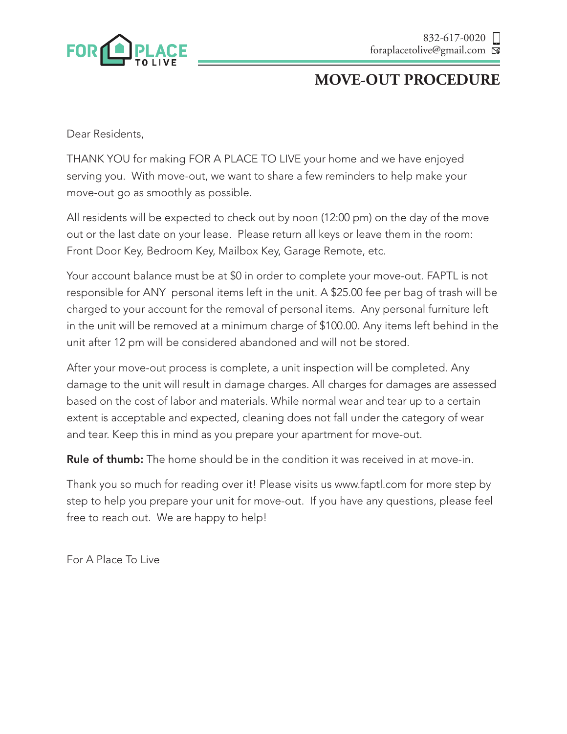

# **MOVE-OUT PROCEDURE**

Dear Residents,

THANK YOU for making FOR A PLACE TO LIVE your home and we have enjoyed serving you. With move-out, we want to share a few reminders to help make your move-out go as smoothly as possible.

All residents will be expected to check out by noon (12:00 pm) on the day of the move out or the last date on your lease. Please return all keys or leave them in the room: Front Door Key, Bedroom Key, Mailbox Key, Garage Remote, etc.

Your account balance must be at \$0 in order to complete your move-out. FAPTL is not responsible for ANY personal items left in the unit. A \$25.00 fee per bag of trash will be charged to your account for the removal of personal items. Any personal furniture left in the unit will be removed at a minimum charge of \$100.00. Any items left behind in the unit after 12 pm will be considered abandoned and will not be stored.

After your move-out process is complete, a unit inspection will be completed. Any damage to the unit will result in damage charges. All charges for damages are assessed based on the cost of labor and materials. While normal wear and tear up to a certain extent is acceptable and expected, cleaning does not fall under the category of wear and tear. Keep this in mind as you prepare your apartment for move-out.

Rule of thumb: The home should be in the condition it was received in at move-in.

Thank you so much for reading over it! Please visits us www.faptl.com for more step by step to help you prepare your unit for move-out. If you have any questions, please feel free to reach out. We are happy to help!

For A Place To Live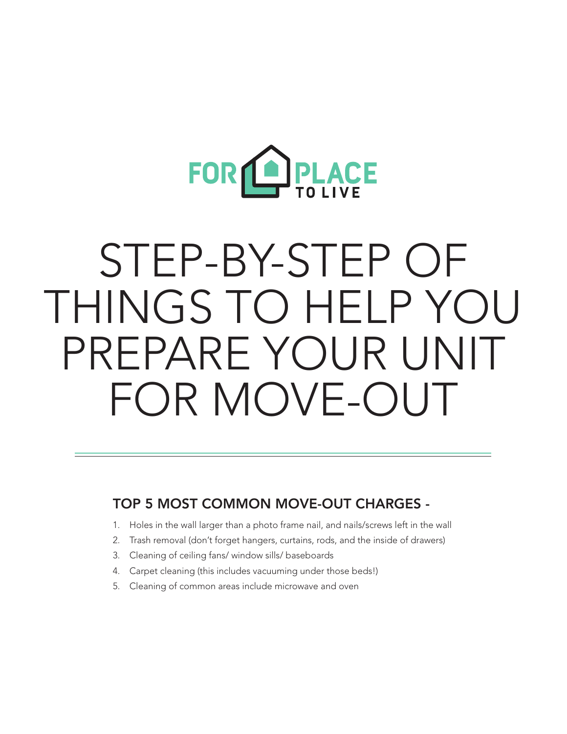

# STEP-BY-STEP OF THINGS TO HELP YOU PREPARE YOUR UNIT FOR MOVE-OUT

#### TOP 5 MOST COMMON MOVE-OUT CHARGES -

- 1. Holes in the wall larger than a photo frame nail, and nails/screws left in the wall
- 2. Trash removal (don't forget hangers, curtains, rods, and the inside of drawers)
- 3. Cleaning of ceiling fans/ window sills/ baseboards
- 4. Carpet cleaning (this includes vacuuming under those beds!)
- 5. Cleaning of common areas include microwave and oven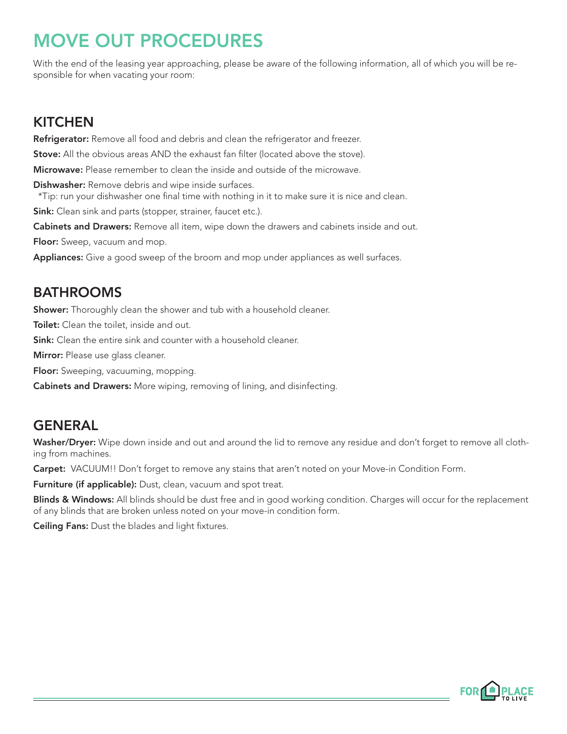# MOVE OUT PROCEDURES

With the end of the leasing year approaching, please be aware of the following information, all of which you will be responsible for when vacating your room:

# **KITCHEN**

Refrigerator: Remove all food and debris and clean the refrigerator and freezer.

**Stove:** All the obvious areas AND the exhaust fan filter (located above the stove).

Microwave: Please remember to clean the inside and outside of the microwave.

Dishwasher: Remove debris and wipe inside surfaces.

\*Tip: run your dishwasher one final time with nothing in it to make sure it is nice and clean.

Sink: Clean sink and parts (stopper, strainer, faucet etc.).

Cabinets and Drawers: Remove all item, wipe down the drawers and cabinets inside and out.

Floor: Sweep, vacuum and mop.

Appliances: Give a good sweep of the broom and mop under appliances as well surfaces.

# BATHROOMS

Shower: Thoroughly clean the shower and tub with a household cleaner.

**Toilet:** Clean the toilet, inside and out.

Sink: Clean the entire sink and counter with a household cleaner.

Mirror: Please use glass cleaner.

Floor: Sweeping, vacuuming, mopping.

Cabinets and Drawers: More wiping, removing of lining, and disinfecting.

# **GENERAL**

Washer/Dryer: Wipe down inside and out and around the lid to remove any residue and don't forget to remove all clothing from machines.

Carpet: VACUUM!! Don't forget to remove any stains that aren't noted on your Move-in Condition Form.

Furniture (if applicable): Dust, clean, vacuum and spot treat.

Blinds & Windows: All blinds should be dust free and in good working condition. Charges will occur for the replacement of any blinds that are broken unless noted on your move-in condition form.

Ceiling Fans: Dust the blades and light fixtures.

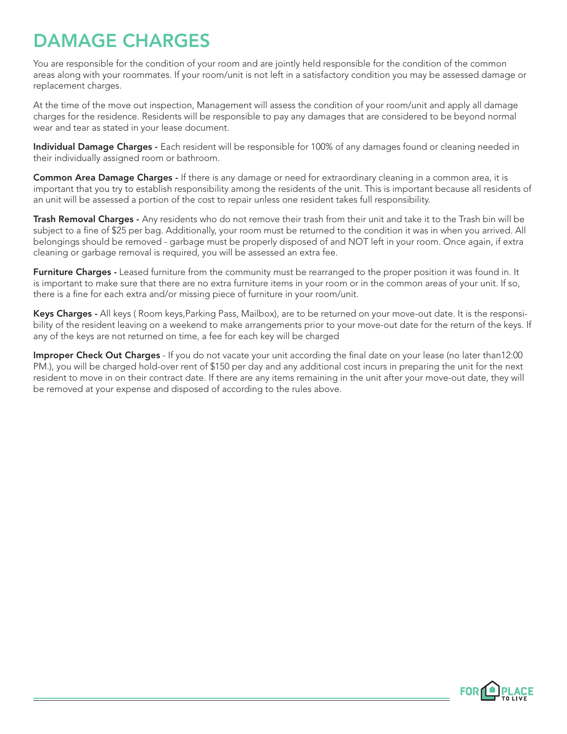# DAMAGE CHARGES

You are responsible for the condition of your room and are jointly held responsible for the condition of the common areas along with your roommates. If your room/unit is not left in a satisfactory condition you may be assessed damage or replacement charges.

At the time of the move out inspection, Management will assess the condition of your room/unit and apply all damage charges for the residence. Residents will be responsible to pay any damages that are considered to be beyond normal wear and tear as stated in your lease document.

Individual Damage Charges - Each resident will be responsible for 100% of any damages found or cleaning needed in their individually assigned room or bathroom.

Common Area Damage Charges - If there is any damage or need for extraordinary cleaning in a common area, it is important that you try to establish responsibility among the residents of the unit. This is important because all residents of an unit will be assessed a portion of the cost to repair unless one resident takes full responsibility.

Trash Removal Charges - Any residents who do not remove their trash from their unit and take it to the Trash bin will be subject to a fine of \$25 per bag. Additionally, your room must be returned to the condition it was in when you arrived. All belongings should be removed - garbage must be properly disposed of and NOT left in your room. Once again, if extra cleaning or garbage removal is required, you will be assessed an extra fee.

Furniture Charges - Leased furniture from the community must be rearranged to the proper position it was found in. It is important to make sure that there are no extra furniture items in your room or in the common areas of your unit. If so, there is a fine for each extra and/or missing piece of furniture in your room/unit.

Keys Charges - All keys (Room keys, Parking Pass, Mailbox), are to be returned on your move-out date. It is the responsibility of the resident leaving on a weekend to make arrangements prior to your move-out date for the return of the keys. If any of the keys are not returned on time, a fee for each key will be charged

Improper Check Out Charges - If you do not vacate your unit according the final date on your lease (no later than12:00 PM.), you will be charged hold-over rent of \$150 per day and any additional cost incurs in preparing the unit for the next resident to move in on their contract date. If there are any items remaining in the unit after your move-out date, they will be removed at your expense and disposed of according to the rules above.

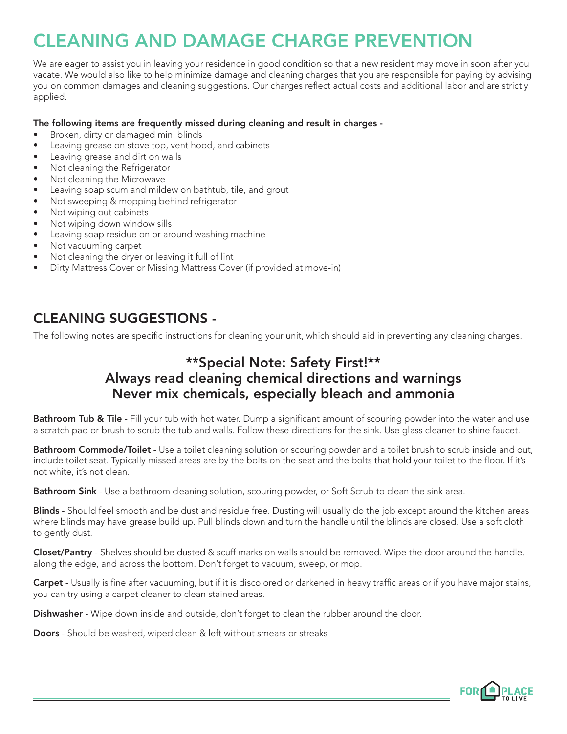# CLEANING AND DAMAGE CHARGE PREVENTION

We are eager to assist you in leaving your residence in good condition so that a new resident may move in soon after you vacate. We would also like to help minimize damage and cleaning charges that you are responsible for paying by advising you on common damages and cleaning suggestions. Our charges reflect actual costs and additional labor and are strictly applied.

#### The following items are frequently missed during cleaning and result in charges -

- Broken, dirty or damaged mini blinds
- Leaving grease on stove top, vent hood, and cabinets
- Leaving grease and dirt on walls
- Not cleaning the Refrigerator
- Not cleaning the Microwave
- Leaving soap scum and mildew on bathtub, tile, and grout
- Not sweeping & mopping behind refrigerator
- Not wiping out cabinets
- Not wiping down window sills
- Leaving soap residue on or around washing machine
- Not vacuuming carpet
- Not cleaning the dryer or leaving it full of lint
- Dirty Mattress Cover or Missing Mattress Cover (if provided at move-in)

#### CLEANING SUGGESTIONS -

The following notes are specific instructions for cleaning your unit, which should aid in preventing any cleaning charges.

## \*\*Special Note: Safety First!\*\* Always read cleaning chemical directions and warnings Never mix chemicals, especially bleach and ammonia

Bathroom Tub & Tile - Fill your tub with hot water. Dump a significant amount of scouring powder into the water and use a scratch pad or brush to scrub the tub and walls. Follow these directions for the sink. Use glass cleaner to shine faucet.

Bathroom Commode/Toilet - Use a toilet cleaning solution or scouring powder and a toilet brush to scrub inside and out, include toilet seat. Typically missed areas are by the bolts on the seat and the bolts that hold your toilet to the floor. If it's not white, it's not clean.

Bathroom Sink - Use a bathroom cleaning solution, scouring powder, or Soft Scrub to clean the sink area.

Blinds - Should feel smooth and be dust and residue free. Dusting will usually do the job except around the kitchen areas where blinds may have grease build up. Pull blinds down and turn the handle until the blinds are closed. Use a soft cloth to gently dust.

Closet/Pantry - Shelves should be dusted & scuff marks on walls should be removed. Wipe the door around the handle, along the edge, and across the bottom. Don't forget to vacuum, sweep, or mop.

Carpet - Usually is fine after vacuuming, but if it is discolored or darkened in heavy traffic areas or if you have major stains, you can try using a carpet cleaner to clean stained areas.

**Dishwasher** - Wipe down inside and outside, don't forget to clean the rubber around the door.

Doors - Should be washed, wiped clean & left without smears or streaks